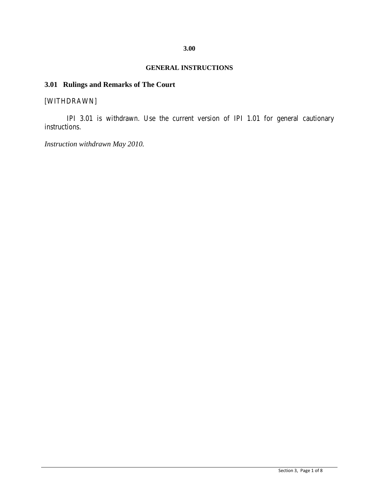## **GENERAL INSTRUCTIONS**

## **3.01 Rulings and Remarks of The Court**

# [WITHDRAWN]

IPI 3.01 is withdrawn. Use the current version of IPI 1.01 for general cautionary instructions.

*Instruction withdrawn May 2010.*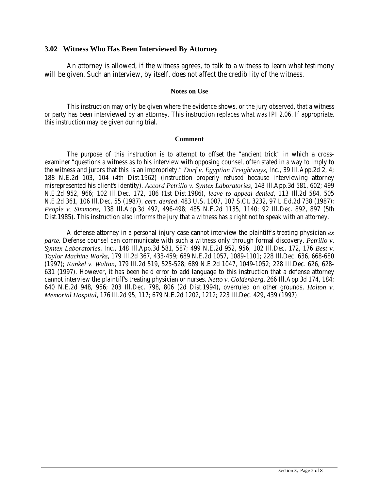### **3.02 Witness Who Has Been Interviewed By Attorney**

An attorney is allowed, if the witness agrees, to talk to a witness to learn what testimony will be given. Such an interview, by itself, does not affect the credibility of the witness.

#### **Notes on Use**

This instruction may only be given where the evidence shows, or the jury observed, that a witness or party has been interviewed by an attorney. This instruction replaces what was IPI 2.06. If appropriate, this instruction may be given during trial.

#### **Comment**

The purpose of this instruction is to attempt to offset the "ancient trick" in which a crossexaminer "questions a witness as to his interview with opposing counsel, often stated in a way to imply to the witness and jurors that this is an impropriety." *Dorf v. Egyptian Freightways*, Inc., 39 Ill.App.2d 2, 4; 188 N.E.2d 103, 104 (4th Dist.1962) (instruction properly refused because interviewing attorney misrepresented his client's identity). *Accord Petrillo v. Syntex Laboratories*, 148 Ill.App.3d 581, 602; 499 N.E.2d 952, 966; 102 Ill.Dec. 172, 186 (1st Dist.1986), *leave to appeal denied*, 113 Ill.2d 584, 505 N.E.2d 361, 106 Ill.Dec. 55 (1987), *cert. denied*, 483 U.S. 1007, 107 S.Ct. 3232, 97 L.Ed.2d 738 (1987); *People v. Simmons*, 138 Ill.App.3d 492, 496-498; 485 N.E.2d 1135, 1140; 92 Ill.Dec. 892, 897 (5th Dist.1985). This instruction also informs the jury that a witness has a right not to speak with an attorney.

A defense attorney in a personal injury case cannot interview the plaintiff's treating physician *ex parte.* Defense counsel can communicate with such a witness only through formal discovery. *Petrillo v. Syntex Laboratories*, Inc., 148 Ill.App.3d 581, 587; 499 N.E.2d 952, 956; 102 Ill.Dec. 172, 176 *Best v. Taylor Machine Works*, 179 Ill.2d 367, 433-459; 689 N.E.2d 1057, 1089-1101; 228 Ill.Dec. 636, 668-680 (1997); *Kunkel v. Walton*, 179 Ill.2d 519, 525-528; 689 N.E.2d 1047, 1049-1052; 228 Ill.Dec. 626, 628- 631 (1997). However, it has been held error to add language to this instruction that a defense attorney cannot interview the plaintiff's treating physician or nurses. *Netto v. Goldenberg*, 266 Ill.App.3d 174, 184; 640 N.E.2d 948, 956; 203 Ill.Dec. 798, 806 (2d Dist.1994), overruled on other grounds, *Holton v. Memorial Hospital*, 176 Ill.2d 95, 117; 679 N.E.2d 1202, 1212; 223 Ill.Dec. 429, 439 (1997).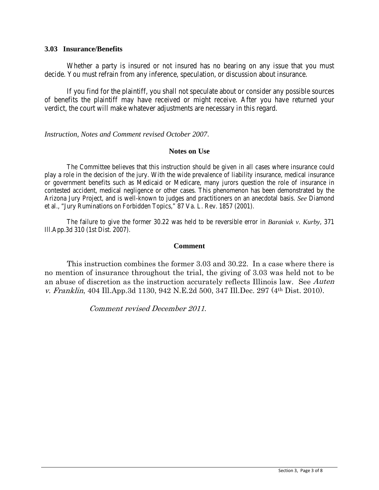### **3.03 Insurance/Benefits**

Whether a party is insured or not insured has no bearing on any issue that you must decide. You must refrain from any inference, speculation, or discussion about insurance.

If you find for the plaintiff, you shall not speculate about or consider any possible sources of benefits the plaintiff may have received or might receive. After you have returned your verdict, the court will make whatever adjustments are necessary in this regard.

### *Instruction, Notes and Comment revised October 2007*.

### **Notes on Use**

The Committee believes that this instruction should be given in all cases where insurance could play a role in the decision of the jury. With the wide prevalence of liability insurance, medical insurance or government benefits such as Medicaid or Medicare, many jurors question the role of insurance in contested accident, medical negligence or other cases. This phenomenon has been demonstrated by the Arizona Jury Project, and is well-known to judges and practitioners on an anecdotal basis. *See* Diamond et al., "Jury Ruminations on Forbidden Topics," 87 Va. L. Rev. 1857 (2001).

The failure to give the former 30.22 was held to be reversible error in *Baraniak v. Kurby*, 371 Ill.App.3d 310 (1st Dist. 2007).

### **Comment**

This instruction combines the former 3.03 and 30.22. In a case where there is no mention of insurance throughout the trial, the giving of 3.03 was held not to be an abuse of discretion as the instruction accurately reflects Illinois law. See Auten v. Franklin, 404 Ill.App.3d 1130, 942 N.E.2d 500, 347 Ill.Dec. 297 (4th Dist. 2010).

Comment revised December 2011.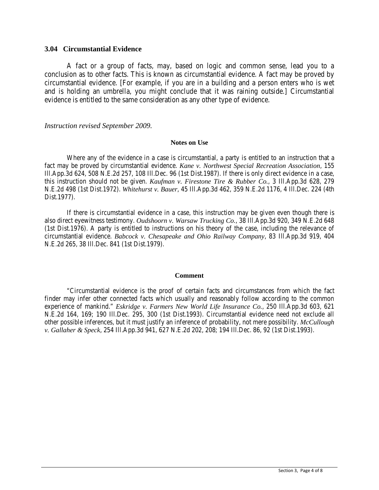### **3.04 Circumstantial Evidence**

A fact or a group of facts, may, based on logic and common sense, lead you to a conclusion as to other facts. This is known as circumstantial evidence. A fact may be proved by circumstantial evidence. [For example, if you are in a building and a person enters who is wet and is holding an umbrella, you might conclude that it was raining outside.] Circumstantial evidence is entitled to the same consideration as any other type of evidence.

#### *Instruction revised September 2009.*

#### **Notes on Use**

Where any of the evidence in a case is circumstantial, a party is entitled to an instruction that a fact may be proved by circumstantial evidence. *Kane v. Northwest Special Recreation Association*, 155 Ill.App.3d 624, 508 N.E.2d 257, 108 Ill.Dec. 96 (1st Dist.1987). If there is only direct evidence in a case, this instruction should not be given. *Kaufman v. Firestone Tire & Rubber Co.*, 3 Ill.App.3d 628, 279 N.E.2d 498 (1st Dist.1972). *Whitehurst v. Bauer*, 45 Ill.App.3d 462, 359 N.E.2d 1176, 4 Ill.Dec. 224 (4th Dist.1977).

If there is circumstantial evidence in a case, this instruction may be given even though there is also direct eyewitness testimony. *Oudshoorn v. Warsaw Trucking Co.*, 38 Ill.App.3d 920, 349 N.E.2d 648 (1st Dist.1976). A party is entitled to instructions on his theory of the case, including the relevance of circumstantial evidence. *Babcock v. Chesapeake and Ohio Railway Company*, 83 Ill.App.3d 919, 404 N.E.2d 265, 38 Ill.Dec. 841 (1st Dist.1979).

#### **Comment**

"Circumstantial evidence is the proof of certain facts and circumstances from which the fact finder may infer other connected facts which usually and reasonably follow according to the common experience of mankind." *Eskridge v. Farmers New World Life Insurance Co.*, 250 Ill.App.3d 603, 621 N.E.2d 164, 169; 190 Ill.Dec. 295, 300 (1st Dist.1993). Circumstantial evidence need not exclude all other possible inferences, but it must justify an inference of probability, not mere possibility. *McCullough v. Gallaher & Speck*, 254 Ill.App.3d 941, 627 N.E.2d 202, 208; 194 Ill.Dec. 86, 92 (1st Dist.1993).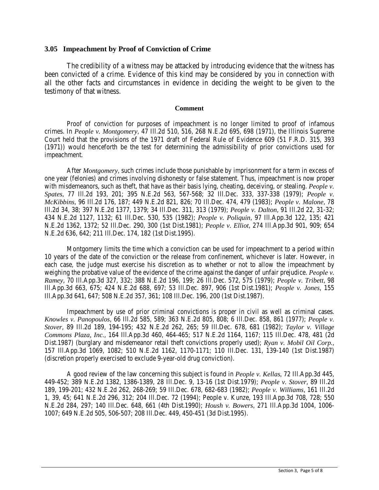### **3.05 Impeachment by Proof of Conviction of Crime**

The credibility of a witness may be attacked by introducing evidence that the witness has been convicted of a crime. Evidence of this kind may be considered by you in connection with all the other facts and circumstances in evidence in deciding the weight to be given to the testimony of that witness.

#### **Comment**

Proof of conviction for purposes of impeachment is no longer limited to proof of infamous crimes. In *People v. Montgomery*, 47 Ill.2d 510, 516, 268 N.E.2d 695, 698 (1971), the Illinois Supreme Court held that the provisions of the 1971 draft of Federal Rule of Evidence 609 (51 F.R.D. 315, 393 (1971)) would henceforth be the test for determining the admissibility of prior convictions used for impeachment.

After *Montgomery*, such crimes include those punishable by imprisonment for a term in excess of one year (felonies) and crimes involving dishonesty or false statement. Thus, impeachment is now proper with misdemeanors, such as theft, that have as their basis lying, cheating, deceiving, or stealing. *People v*. *Spates*, 77 Ill.2d 193, 201; 395 N.E.2d 563, 567-568; 32 Ill.Dec. 333, 337-338 (1979); *People v. McKibbins*, 96 Ill.2d 176, 187; 449 N.E.2d 821, 826; 70 Ill.Dec. 474, 479 (1983); *People v. Malone*, 78 Ill.2d 34, 38; 397 N.E.2d 1377, 1379; 34 Ill.Dec. 311, 313 (1979); *People v. Dalton*, 91 Ill.2d 22, 31-32; 434 N.E.2d 1127, 1132; 61 Ill.Dec. 530, 535 (1982); *People v. Poliquin*, 97 Ill.App.3d 122, 135; 421 N.E.2d 1362, 1372; 52 Ill.Dec. 290, 300 (1st Dist.1981); *People v. Elliot*, 274 Ill.App.3d 901, 909; 654 N.E.2d 636, 642; 211 Ill.Dec. 174, 182 (1st Dist.1995).

Montgomery limits the time which a conviction can be used for impeachment to a period within 10 years of the date of the conviction or the release from confinement, whichever is later. However, in each case, the judge must exercise his discretion as to whether or not to allow the impeachment by weighing the probative value of the evidence of the crime against the danger of unfair prejudice. *People v. Ramey*, 70 Ill.App.3d 327, 332; 388 N.E.2d 196, 199; 26 Ill.Dec. 572, 575 (1979); *People v. Tribett*, 98 Ill.App.3d 663, 675; 424 N.E.2d 688, 697; 53 Ill.Dec. 897, 906 (1st Dist.1981); *People v. Jones*, 155 Ill.App.3d 641, 647; 508 N.E.2d 357, 361; 108 Ill.Dec. 196, 200 (1st Dist.1987).

Impeachment by use of prior criminal convictions is proper in civil as well as criminal cases. *Knowles v. Panopoulos*, 66 Ill.2d 585, 589; 363 N.E.2d 805, 808; 6 Ill.Dec. 858, 861 (1977); *People v. Stover*, 89 Ill.2d 189, 194-195; 432 N.E.2d 262, 265; 59 Ill.Dec. 678, 681 (1982); *Taylor v. Village Commons Plaza, Inc.*, 164 Ill.App.3d 460, 464-465; 517 N.E.2d 1164, 1167; 115 Ill.Dec. 478, 481 (2d Dist.1987) (burglary and misdemeanor retail theft convictions properly used); *Ryan v. Mobil Oil Corp.*, 157 Ill.App.3d 1069, 1082; 510 N.E.2d 1162, 1170-1171; 110 Ill.Dec. 131, 139-140 (1st Dist.1987) (discretion properly exercised to exclude 9-year-old drug conviction).

A good review of the law concerning this subject is found in *People v. Kellas*, 72 Ill.App.3d 445, 449-452; 389 N.E.2d 1382, 1386-1389, 28 Ill.Dec. 9, 13-16 (1st Dist.1979); *People v. Stover*, 89 Ill.2d 189, 199-201; 432 N.E.2d 262, 268-269; 59 Ill.Dec. 678, 682-683 (1982); *People v. Williams*, 161 Ill.2d 1, 39, 45; 641 N.E.2d 296, 312; 204 Ill.Dec. 72 (1994); People v. Kunze, 193 Ill.App.3d 708, 728; 550 N.E.2d 284, 297; 140 Ill.Dec. 648, 661 (4th Dist.1990); *Housh v. Bowers*, 271 Ill.App.3d 1004, 1006- 1007; 649 N.E.2d 505, 506-507; 208 Ill.Dec. 449, 450-451 (3d Dist.1995).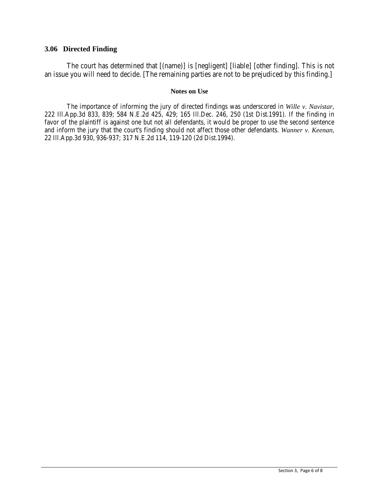## **3.06 Directed Finding**

The court has determined that [(name)] is [negligent] [liable] [other finding]. This is not an issue you will need to decide. [The remaining parties are not to be prejudiced by this finding.]

#### **Notes on Use**

The importance of informing the jury of directed findings was underscored in *Wille v. Navistar*, 222 Ill.App.3d 833, 839; 584 N.E.2d 425, 429; 165 Ill.Dec. 246, 250 (1st Dist.1991). If the finding in favor of the plaintiff is against one but not all defendants, it would be proper to use the second sentence and inform the jury that the court's finding should not affect those other defendants. *Wanner v. Keenan*, 22 Ill.App.3d 930, 936-937; 317 N.E.2d 114, 119-120 (2d Dist.1994).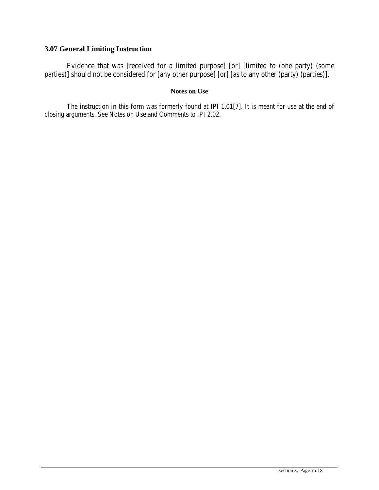# **3.07 General Limiting Instruction**

Evidence that was [received for a limited purpose] [or] [limited to (one party) (some parties)] should not be considered for [any other purpose] [or] [as to any other (party) (parties)].

### **Notes on Use**

The instruction in this form was formerly found at IPI 1.01[7]. It is meant for use at the end of closing arguments. See Notes on Use and Comments to IPI 2.02.